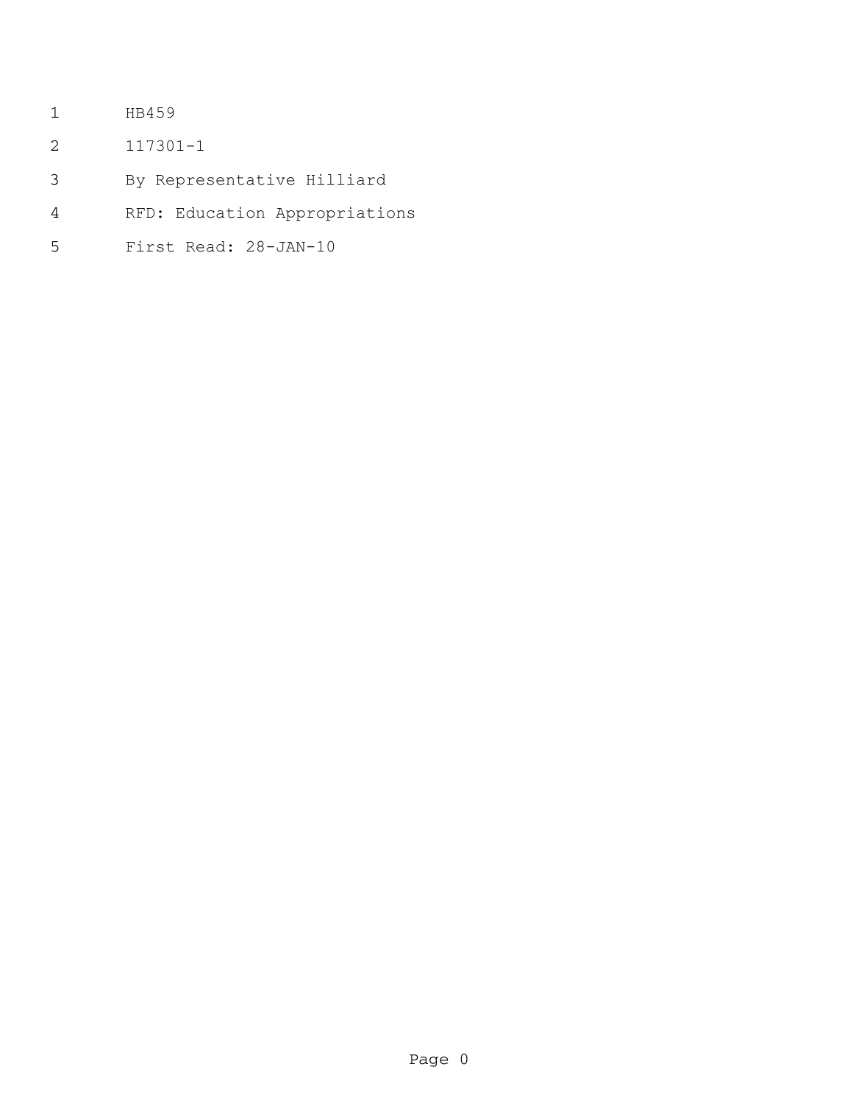- HB459
- 117301-1
- By Representative Hilliard
- RFD: Education Appropriations
- First Read: 28-JAN-10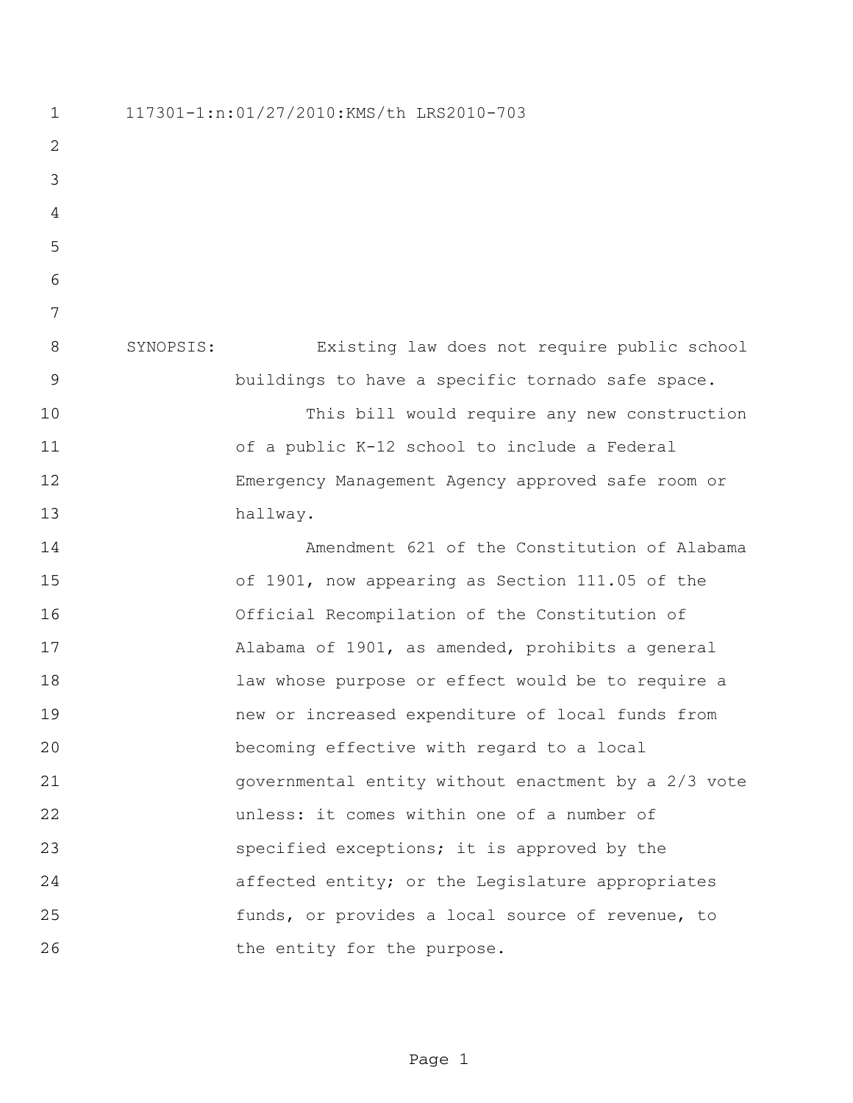117301-1:n:01/27/2010:KMS/th LRS2010-703 SYNOPSIS: Existing law does not require public school buildings to have a specific tornado safe space. This bill would require any new construction of a public K-12 school to include a Federal Emergency Management Agency approved safe room or hallway. Amendment 621 of the Constitution of Alabama of 1901, now appearing as Section 111.05 of the Official Recompilation of the Constitution of Alabama of 1901, as amended, prohibits a general law whose purpose or effect would be to require a new or increased expenditure of local funds from becoming effective with regard to a local governmental entity without enactment by a 2/3 vote unless: it comes within one of a number of **Specified exceptions;** it is approved by the affected entity; or the Legislature appropriates funds, or provides a local source of revenue, to 26 the entity for the purpose.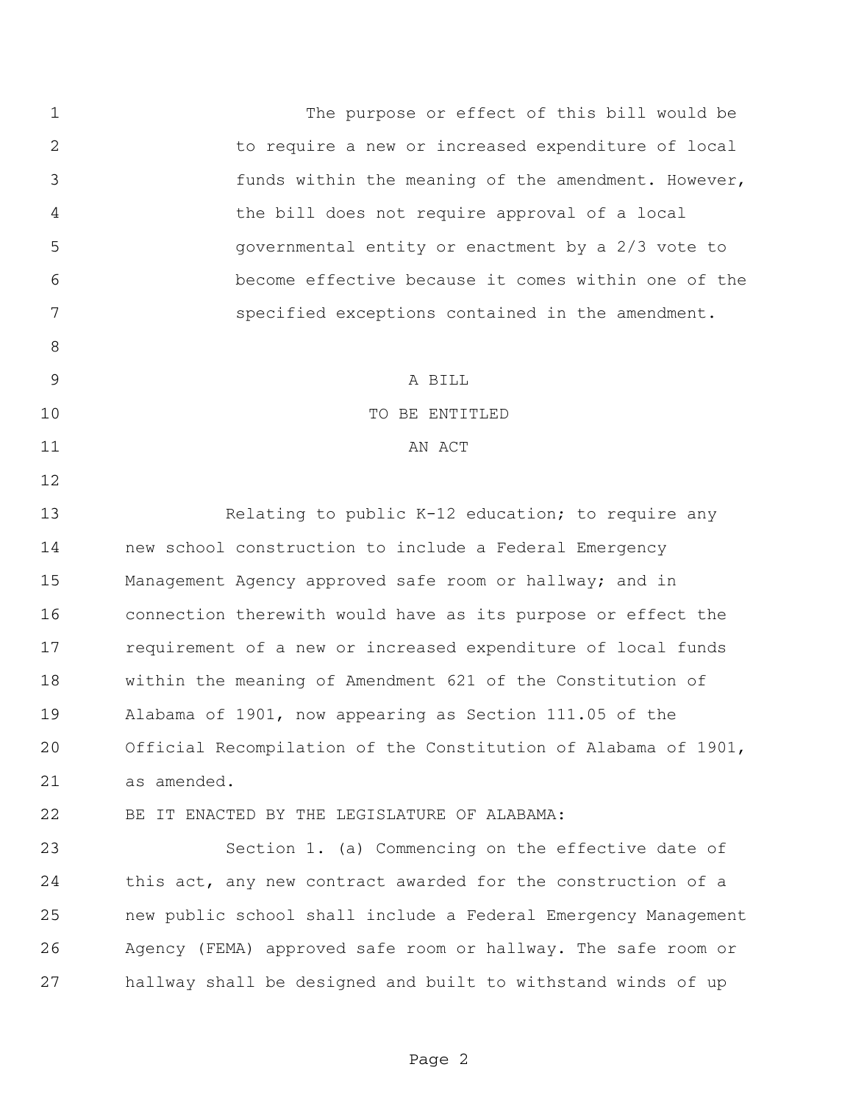The purpose or effect of this bill would be to require a new or increased expenditure of local funds within the meaning of the amendment. However, the bill does not require approval of a local governmental entity or enactment by a 2/3 vote to become effective because it comes within one of the specified exceptions contained in the amendment. A BILL 10 TO BE ENTITLED 11 AN ACT 13 Relating to public K-12 education; to require any new school construction to include a Federal Emergency Management Agency approved safe room or hallway; and in connection therewith would have as its purpose or effect the requirement of a new or increased expenditure of local funds within the meaning of Amendment 621 of the Constitution of Alabama of 1901, now appearing as Section 111.05 of the Official Recompilation of the Constitution of Alabama of 1901, as amended. BE IT ENACTED BY THE LEGISLATURE OF ALABAMA: Section 1. (a) Commencing on the effective date of 24 this act, any new contract awarded for the construction of a new public school shall include a Federal Emergency Management Agency (FEMA) approved safe room or hallway. The safe room or hallway shall be designed and built to withstand winds of up